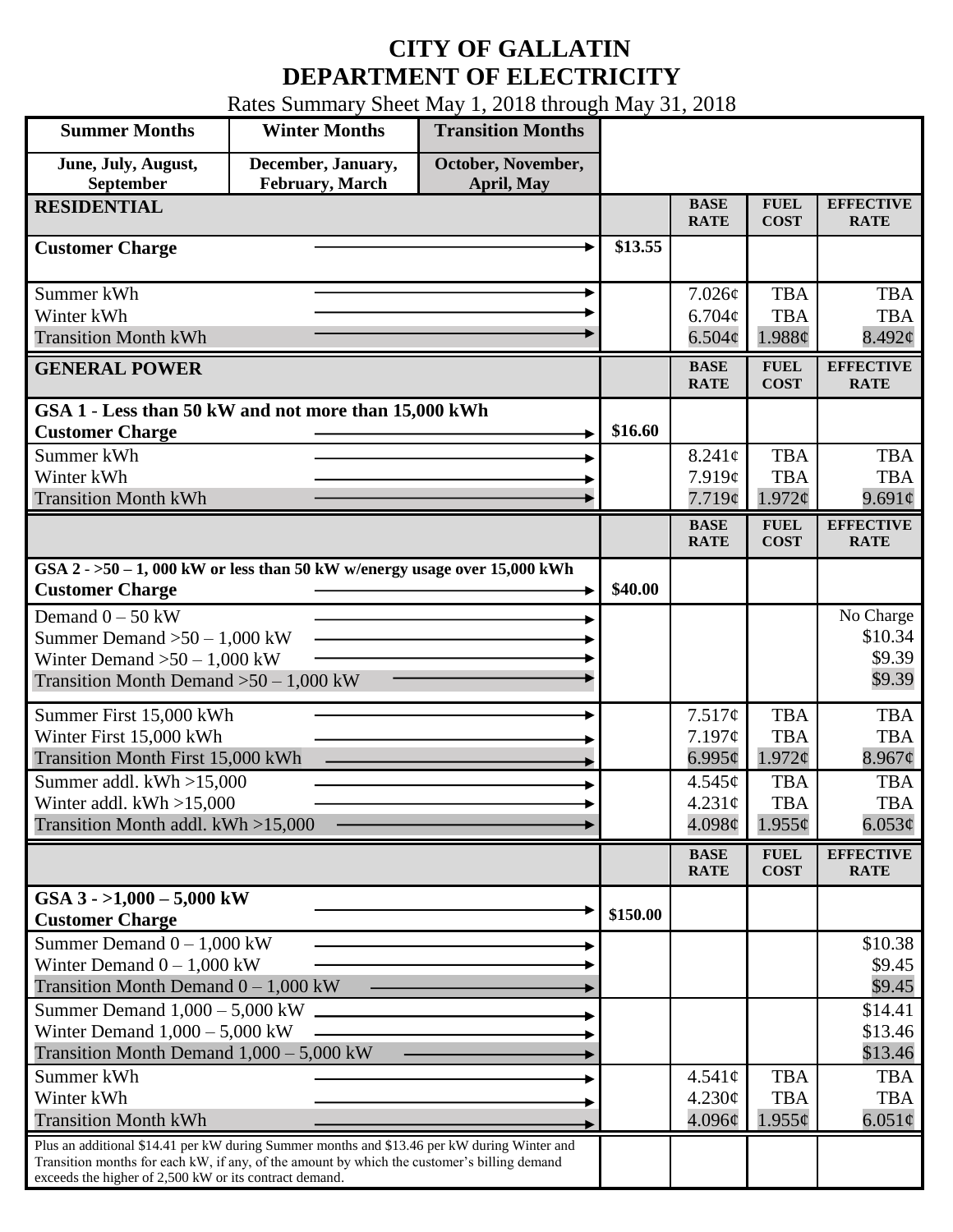## **CITY OF GALLATIN DEPARTMENT OF ELECTRICITY**

Rates Summary Sheet May 1, 2018 through May 31, 2018

| <b>Summer Months</b>                                                                                                                                                                                                                                 | <b>Winter Months</b>                  | <b>Transition Months</b>         |          |                                          |                                         |                                          |
|------------------------------------------------------------------------------------------------------------------------------------------------------------------------------------------------------------------------------------------------------|---------------------------------------|----------------------------------|----------|------------------------------------------|-----------------------------------------|------------------------------------------|
| June, July, August,<br>September                                                                                                                                                                                                                     | December, January,<br>February, March | October, November,<br>April, May |          |                                          |                                         |                                          |
| <b>RESIDENTIAL</b>                                                                                                                                                                                                                                   |                                       |                                  |          | <b>BASE</b><br><b>RATE</b>               | <b>FUEL</b><br><b>COST</b>              | <b>EFFECTIVE</b><br><b>RATE</b>          |
| <b>Customer Charge</b>                                                                                                                                                                                                                               |                                       |                                  | \$13.55  |                                          |                                         |                                          |
| Summer kWh<br>Winter kWh<br><b>Transition Month kWh</b>                                                                                                                                                                                              |                                       |                                  |          | 7.026¢<br>$6.704\phi$<br>6.504¢          | <b>TBA</b><br><b>TBA</b><br>1.988¢      | <b>TBA</b><br><b>TBA</b><br>8.492¢       |
| <b>GENERAL POWER</b>                                                                                                                                                                                                                                 |                                       |                                  |          | <b>BASE</b><br><b>RATE</b>               | <b>FUEL</b><br><b>COST</b>              | <b>EFFECTIVE</b><br><b>RATE</b>          |
| GSA 1 - Less than 50 kW and not more than 15,000 kWh<br><b>Customer Charge</b>                                                                                                                                                                       |                                       |                                  | \$16.60  |                                          |                                         |                                          |
| Summer kWh<br>Winter kWh<br><b>Transition Month kWh</b>                                                                                                                                                                                              |                                       |                                  |          | $8.241\phi$<br>7.919¢<br>7.719¢          | <b>TBA</b><br><b>TBA</b><br>$1.972\phi$ | <b>TBA</b><br><b>TBA</b><br>$9.691\circ$ |
|                                                                                                                                                                                                                                                      |                                       |                                  |          | <b>BASE</b><br><b>RATE</b>               | <b>FUEL</b><br><b>COST</b>              | <b>EFFECTIVE</b><br><b>RATE</b>          |
| GSA $2 - 50 - 1$ , 000 kW or less than 50 kW w/energy usage over 15,000 kWh<br><b>Customer Charge</b>                                                                                                                                                |                                       |                                  | \$40.00  |                                          |                                         |                                          |
| Demand $0 - 50$ kW<br>Summer Demand $>50 - 1,000$ kW<br>Winter Demand $>50 - 1,000$ kW<br>Transition Month Demand $>50-1,000$ kW                                                                                                                     |                                       |                                  |          |                                          |                                         | No Charge<br>\$10.34<br>\$9.39<br>\$9.39 |
| Summer First 15,000 kWh<br>Winter First 15,000 kWh<br>Transition Month First 15,000 kWh                                                                                                                                                              |                                       |                                  |          | 7.517¢<br>7.197¢<br>6.995 $\phi$         | <b>TBA</b><br><b>TBA</b><br>1.972¢      | <b>TBA</b><br><b>TBA</b><br>8.967¢       |
| Summer addl. $kWh > 15,000$<br>Winter addl. $kWh > 15,000$<br>Transition Month addl. kWh >15,000                                                                                                                                                     |                                       |                                  |          | $4.545\phi$<br>$4.231\text{¢}$<br>4.098¢ | <b>TBA</b><br><b>TBA</b><br>$1.955\phi$ | <b>TBA</b><br><b>TBA</b><br>6.053¢       |
|                                                                                                                                                                                                                                                      |                                       |                                  |          | <b>BASE</b><br><b>RATE</b>               | <b>FUEL</b><br><b>COST</b>              | <b>EFFECTIVE</b><br><b>RATE</b>          |
| GSA $3 - 1,000 - 5,000$ kW<br><b>Customer Charge</b>                                                                                                                                                                                                 |                                       |                                  | \$150.00 |                                          |                                         |                                          |
| Summer Demand $0 - 1,000$ kW<br>Winter Demand $0 - 1,000$ kW<br>Transition Month Demand $0 - 1,000$ kW                                                                                                                                               |                                       |                                  |          |                                          |                                         | \$10.38<br>\$9.45<br>\$9.45              |
| Summer Demand $1,000 - 5,000$ kW<br>Winter Demand $1,000 - 5,000$ kW<br>Transition Month Demand $1,000 - 5,000$ kW                                                                                                                                   |                                       |                                  |          |                                          |                                         | \$14.41<br>\$13.46<br>\$13.46            |
| Summer kWh<br>Winter kWh<br><b>Transition Month kWh</b>                                                                                                                                                                                              |                                       |                                  |          | $4.541\phi$<br>4.230¢<br>4.096¢          | <b>TBA</b><br><b>TBA</b><br>$1.955\phi$ | <b>TBA</b><br><b>TBA</b><br>6.051 $\phi$ |
| Plus an additional \$14.41 per kW during Summer months and \$13.46 per kW during Winter and<br>Transition months for each kW, if any, of the amount by which the customer's billing demand<br>exceeds the higher of 2,500 kW or its contract demand. |                                       |                                  |          |                                          |                                         |                                          |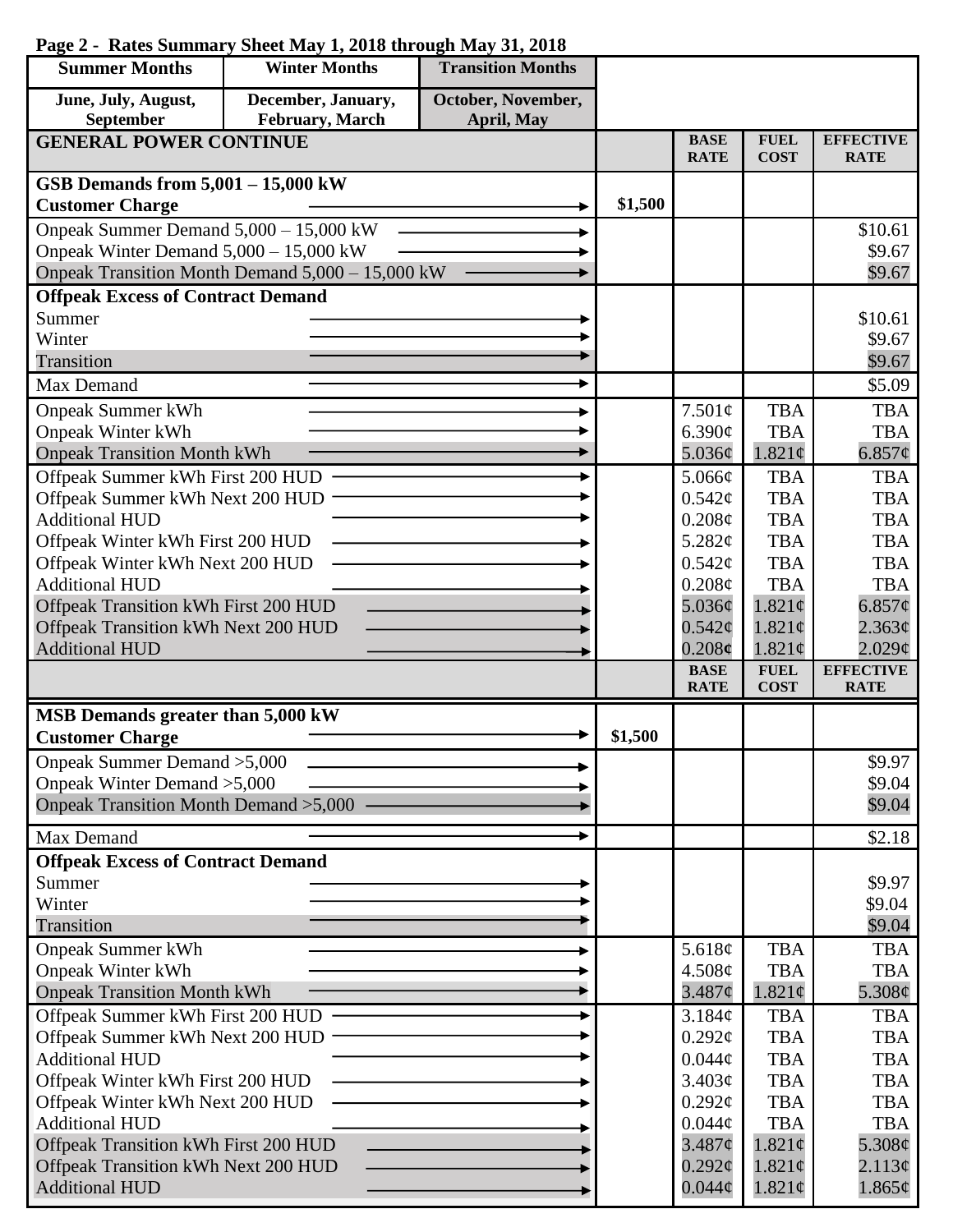| <b>Summer Months</b>                                                | <b>Winter Months</b>                             | <b>Transition Months</b> |         |                    |                          |                          |
|---------------------------------------------------------------------|--------------------------------------------------|--------------------------|---------|--------------------|--------------------------|--------------------------|
| June, July, August,                                                 | December, January,                               | October, November,       |         |                    |                          |                          |
| September                                                           | February, March                                  | April, May               |         | <b>BASE</b>        | <b>FUEL</b>              | <b>EFFECTIVE</b>         |
| <b>GENERAL POWER CONTINUE</b>                                       |                                                  |                          |         | <b>RATE</b>        | <b>COST</b>              | <b>RATE</b>              |
| GSB Demands from $5,001 - 15,000$ kW                                |                                                  |                          |         |                    |                          |                          |
| <b>Customer Charge</b>                                              |                                                  |                          | \$1,500 |                    |                          |                          |
| Onpeak Summer Demand 5,000 - 15,000 kW                              |                                                  |                          |         |                    |                          | \$10.61                  |
| Onpeak Winter Demand 5,000 - 15,000 kW                              |                                                  |                          |         |                    |                          | \$9.67                   |
|                                                                     | Onpeak Transition Month Demand 5,000 - 15,000 kW |                          |         |                    |                          | \$9.67                   |
| <b>Offpeak Excess of Contract Demand</b>                            |                                                  |                          |         |                    |                          |                          |
| Summer                                                              |                                                  |                          |         |                    |                          | \$10.61                  |
| Winter                                                              |                                                  |                          |         |                    |                          | \$9.67                   |
| <b>Transition</b>                                                   |                                                  |                          |         |                    |                          | \$9.67                   |
| Max Demand                                                          |                                                  |                          |         |                    |                          | \$5.09                   |
| <b>Onpeak Summer kWh</b>                                            |                                                  |                          |         | 7.501¢             | <b>TBA</b>               | <b>TBA</b>               |
| <b>Onpeak Winter kWh</b>                                            |                                                  |                          |         | 6.390¢             | <b>TBA</b>               | <b>TBA</b>               |
| <b>Onpeak Transition Month kWh</b>                                  |                                                  |                          |         | 5.036¢             | $1.821\phi$              | $6.857\phi$              |
| Offpeak Summer kWh First 200 HUD                                    |                                                  |                          |         | 5.066¢             | <b>TBA</b>               | <b>TBA</b>               |
| Offpeak Summer kWh Next 200 HUD                                     |                                                  |                          |         | 0.542¢             | <b>TBA</b>               | <b>TBA</b>               |
| <b>Additional HUD</b>                                               |                                                  |                          |         | $0.208\mathcal{C}$ | <b>TBA</b>               | <b>TBA</b><br><b>TBA</b> |
| Offpeak Winter kWh First 200 HUD<br>Offpeak Winter kWh Next 200 HUD |                                                  |                          |         | 5.282¢<br>0.542¢   | <b>TBA</b><br><b>TBA</b> | <b>TBA</b>               |
| <b>Additional HUD</b>                                               |                                                  |                          |         | 0.208¢             | <b>TBA</b>               | <b>TBA</b>               |
| Offpeak Transition kWh First 200 HUD                                |                                                  |                          |         | 5.036¢             | $1.821\phi$              | 6.857¢                   |
| Offpeak Transition kWh Next 200 HUD                                 |                                                  |                          |         | $0.542\epsilon$    | $1.821\phi$              | 2.363¢                   |
| <b>Additional HUD</b>                                               |                                                  |                          |         | 0.208c             | $1.821\phi$              | 2.029¢                   |
|                                                                     |                                                  |                          |         | <b>BASE</b>        | <b>FUEL</b>              | <b>EFFECTIVE</b>         |
|                                                                     |                                                  |                          |         | <b>RATE</b>        | <b>COST</b>              | <b>RATE</b>              |
| MSB Demands greater than 5,000 kW                                   |                                                  |                          |         |                    |                          |                          |
| <b>Customer Charge</b>                                              |                                                  |                          | \$1,500 |                    |                          |                          |
| Onpeak Summer Demand > 5,000                                        |                                                  |                          |         |                    |                          | \$9.97                   |
| Onpeak Winter Demand > 5,000                                        |                                                  |                          |         |                    |                          | \$9.04                   |
| Onpeak Transition Month Demand > 5,000                              |                                                  |                          |         |                    |                          | \$9.04                   |
| Max Demand                                                          |                                                  |                          |         |                    |                          | \$2.18                   |
| <b>Offpeak Excess of Contract Demand</b>                            |                                                  |                          |         |                    |                          |                          |
| Summer                                                              |                                                  |                          |         |                    |                          | \$9.97                   |
| Winter<br>Transition                                                |                                                  |                          |         |                    |                          | \$9.04                   |
|                                                                     |                                                  |                          |         | 5.618¢             | <b>TBA</b>               | \$9.04<br><b>TBA</b>     |
| <b>Onpeak Summer kWh</b><br><b>Onpeak Winter kWh</b>                |                                                  |                          |         | 4.508¢             | <b>TBA</b>               | <b>TBA</b>               |
| <b>Onpeak Transition Month kWh</b>                                  |                                                  |                          |         | 3.487¢             | $1.821\phi$              | 5.308¢                   |
| Offpeak Summer kWh First 200 HUD                                    |                                                  |                          |         | 3.184¢             | <b>TBA</b>               | <b>TBA</b>               |
| Offpeak Summer kWh Next 200 HUD                                     |                                                  |                          |         | $0.292\mathcal{C}$ | <b>TBA</b>               | <b>TBA</b>               |
| <b>Additional HUD</b>                                               |                                                  |                          |         | $0.044\phi$        | <b>TBA</b>               | <b>TBA</b>               |
| Offpeak Winter kWh First 200 HUD                                    |                                                  |                          |         | 3.403¢             | <b>TBA</b>               | <b>TBA</b>               |
| Offpeak Winter kWh Next 200 HUD                                     |                                                  |                          |         | $0.292\mathcal{C}$ | <b>TBA</b>               | <b>TBA</b>               |
| <b>Additional HUD</b>                                               |                                                  |                          |         | $0.044\phi$        | <b>TBA</b>               | <b>TBA</b>               |
| Offpeak Transition kWh First 200 HUD                                |                                                  |                          |         | 3.487¢             | $1.821\phi$              | 5.308¢                   |
| Offpeak Transition kWh Next 200 HUD                                 |                                                  |                          |         | $0.292\ell$        | $1.821\phi$              | 2.113¢                   |
| <b>Additional HUD</b>                                               |                                                  |                          |         | $0.044\phi$        | $1.821\phi$              | $1.865\phi$              |

## **Page 2 - Rates Summary Sheet May 1, 2018 through May 31, 2018**